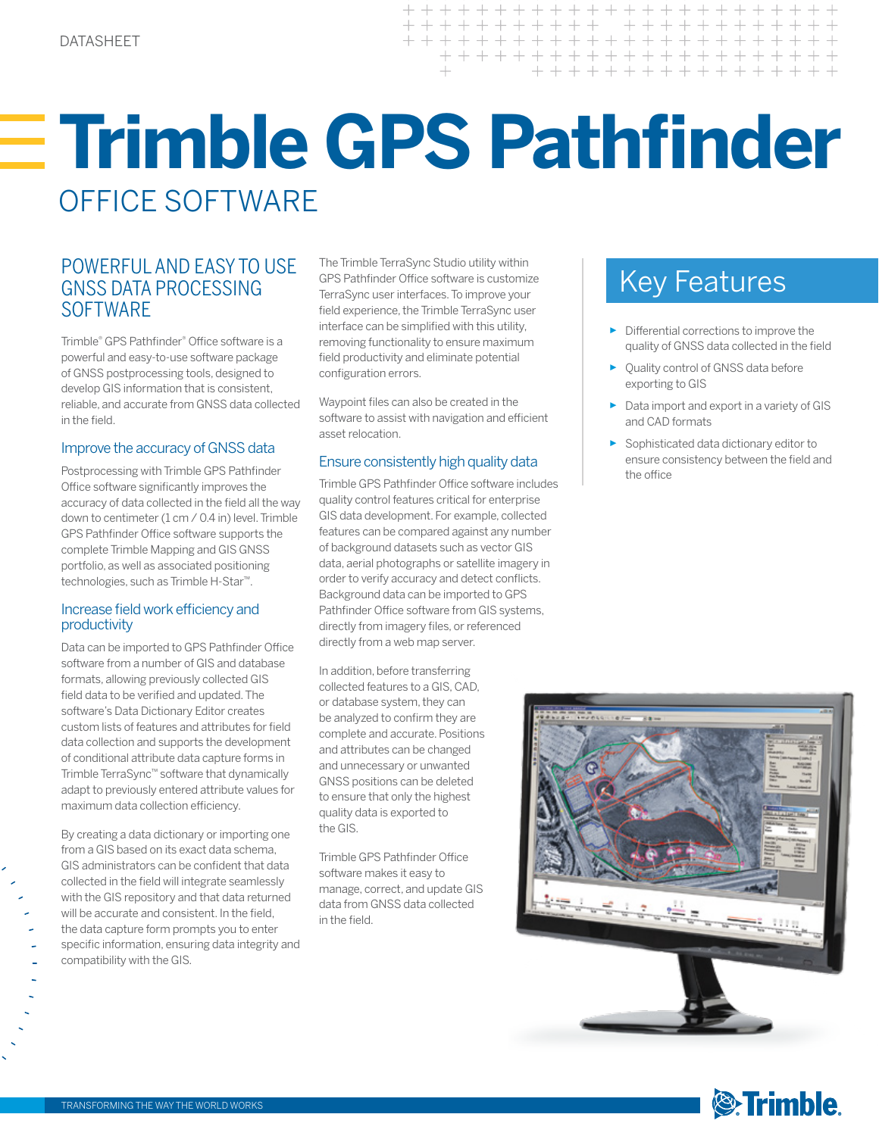$+ + + + + +$ + + + + + + + + + + + + + + + + + + + + + + + + + + + + +

# **Trimble GPS Pathfinder**  OFFICE SOFTWARE

## POWERFUL AND EASY TO USE The Trimble TerraSync Studio utility within<br>GNSS DATA PROCESSING TerraSync user interfaces To improve your GNSS DATA PROCESSING SOFTWARE

Trimble® GPS Pathfinder® Office software is a powerful and easy-to-use software package of GNSS postprocessing tools, designed to develop GIS information that is consistent, reliable, and accurate from GNSS data collected in the field.

#### Improve the accuracy of GNSS data

Postprocessing with Trimble GPS Pathfinder Office software significantly improves the accuracy of data collected in the field all the way down to centimeter (1 cm / 0.4 in) level. Trimble GPS Pathfinder Office software supports the complete Trimble Mapping and GIS GNSS portfolio, as well as associated positioning technologies, such as Trimble H-Star™.

#### Increase field work efficiency and productivity

Data can be imported to GPS Pathfinder Office software from a number of GIS and database formats, allowing previously collected GIS field data to be verified and updated. The software's Data Dictionary Editor creates custom lists of features and attributes for field data collection and supports the development of conditional attribute data capture forms in Trimble TerraSync™ software that dynamically adapt to previously entered attribute values for maximum data collection efficiency.

By creating a data dictionary or importing one from a GIS based on its exact data schema, GIS administrators can be confident that data collected in the field will integrate seamlessly with the GIS repository and that data returned will be accurate and consistent. In the field, the data capture form prompts you to enter specific information, ensuring data integrity and compatibility with the GIS.

The Trimble TerraSync Studio utility within GPS Pathfinder Office software is customize TerraSync user interfaces. To improve your field experience, the Trimble TerraSync user interface can be simplified with this utility, removing functionality to ensure maximum field productivity and eliminate potential configuration errors.

Waypoint files can also be created in the software to assist with navigation and efficient asset relocation.

#### Ensure consistently high quality data

Trimble GPS Pathfinder Office software includes quality control features critical for enterprise GIS data development. For example, collected features can be compared against any number of background datasets such as vector GIS data, aerial photographs or satellite imagery in order to verify accuracy and detect conflicts. Background data can be imported to GPS Pathfinder Office software from GIS systems, directly from imagery files, or referenced directly from a web map server.

In addition, before transferring collected features to a GIS, CAD, or database system, they can be analyzed to confirm they are complete and accurate. Positions and attributes can be changed and unnecessary or unwanted GNSS positions can be deleted to ensure that only the highest quality data is exported to the GIS.

Trimble GPS Pathfinder Office software makes it easy to manage, correct, and update GIS data from GNSS data collected in the field.

- ► Differential corrections to improve the quality of GNSS data collected in the field
- ► Quality control of GNSS data before exporting to GIS
- ► Data import and export in a variety of GIS and CAD formats
- ► Sophisticated data dictionary editor to ensure consistency between the field and the office